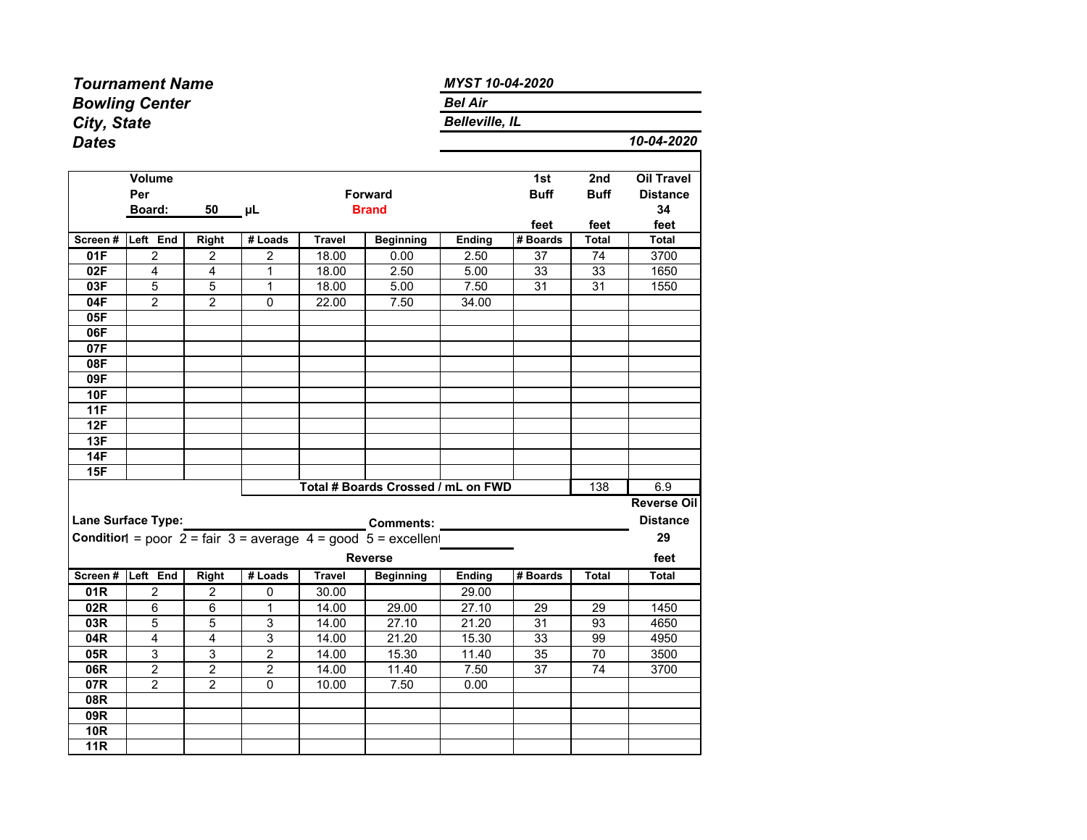|              | <b>Tournament Name</b>  |                |                  | MYST 10-04-2020       |                                                                                                     |               |                    |                    |                                      |  |  |  |  |  |  |  |  |
|--------------|-------------------------|----------------|------------------|-----------------------|-----------------------------------------------------------------------------------------------------|---------------|--------------------|--------------------|--------------------------------------|--|--|--|--|--|--|--|--|
|              | <b>Bowling Center</b>   |                |                  | <b>Bel Air</b>        |                                                                                                     |               |                    |                    |                                      |  |  |  |  |  |  |  |  |
| City, State  |                         |                |                  | <b>Belleville, IL</b> |                                                                                                     |               |                    |                    |                                      |  |  |  |  |  |  |  |  |
| <b>Dates</b> |                         |                |                  |                       |                                                                                                     |               |                    |                    | 10-04-2020                           |  |  |  |  |  |  |  |  |
|              | <b>Volume</b><br>Per    |                |                  |                       | <b>Forward</b>                                                                                      |               | 1st<br><b>Buff</b> | 2nd<br><b>Buff</b> | <b>Oil Travel</b><br><b>Distance</b> |  |  |  |  |  |  |  |  |
|              | Board:                  | 50             | μL               |                       | <b>Brand</b>                                                                                        |               |                    |                    | 34                                   |  |  |  |  |  |  |  |  |
| Screen#      | Left End                | <b>Right</b>   | # Loads          | <b>Travel</b>         | <b>Beginning</b>                                                                                    | <b>Ending</b> | feet<br># Boards   | feet<br>Total      | feet<br>Total                        |  |  |  |  |  |  |  |  |
| 01F          | 2                       | $\mathbf 2$    | $\boldsymbol{2}$ | 18.00                 | 0.00                                                                                                | 2.50          | 37                 | 74                 | 3700                                 |  |  |  |  |  |  |  |  |
| 02F          | 4                       | $\overline{4}$ | $\mathbf{1}$     | 18.00                 | 2.50                                                                                                | 5.00          | 33                 | 33                 | 1650                                 |  |  |  |  |  |  |  |  |
| 03F          | 5                       | $\overline{5}$ | $\overline{1}$   | 18.00                 | 5.00                                                                                                | 7.50          | 31                 | 31                 | 1550                                 |  |  |  |  |  |  |  |  |
| 04F          | 2                       | 2              | 0                | 22.00                 | 7.50                                                                                                | 34.00         |                    |                    |                                      |  |  |  |  |  |  |  |  |
| 05F          |                         |                |                  |                       |                                                                                                     |               |                    |                    |                                      |  |  |  |  |  |  |  |  |
| 06F          |                         |                |                  |                       |                                                                                                     |               |                    |                    |                                      |  |  |  |  |  |  |  |  |
| 07F          |                         |                |                  |                       |                                                                                                     |               |                    |                    |                                      |  |  |  |  |  |  |  |  |
| 08F          |                         |                |                  |                       |                                                                                                     |               |                    |                    |                                      |  |  |  |  |  |  |  |  |
| 09F          |                         |                |                  |                       |                                                                                                     |               |                    |                    |                                      |  |  |  |  |  |  |  |  |
| 10F          |                         |                |                  |                       |                                                                                                     |               |                    |                    |                                      |  |  |  |  |  |  |  |  |
| 11F          |                         |                |                  |                       |                                                                                                     |               |                    |                    |                                      |  |  |  |  |  |  |  |  |
| 12F          |                         |                |                  |                       |                                                                                                     |               |                    |                    |                                      |  |  |  |  |  |  |  |  |
| 13F          |                         |                |                  |                       |                                                                                                     |               |                    |                    |                                      |  |  |  |  |  |  |  |  |
| 14F          |                         |                |                  |                       |                                                                                                     |               |                    |                    |                                      |  |  |  |  |  |  |  |  |
| 15F          |                         |                |                  |                       |                                                                                                     |               |                    |                    |                                      |  |  |  |  |  |  |  |  |
|              |                         |                |                  |                       | Total # Boards Crossed / mL on FWD                                                                  |               |                    | 138                | 6.9                                  |  |  |  |  |  |  |  |  |
|              |                         |                |                  |                       |                                                                                                     |               |                    |                    | <b>Reverse Oil</b>                   |  |  |  |  |  |  |  |  |
|              | Lane Surface Type:      |                |                  |                       | <b>Comments:</b>                                                                                    |               |                    |                    | <b>Distance</b>                      |  |  |  |  |  |  |  |  |
|              |                         |                |                  |                       | <b>Condition</b> = poor $2 = \text{fair } 3 = \text{average } 4 = \text{good } 5 = \text{excellen}$ |               |                    |                    | 29                                   |  |  |  |  |  |  |  |  |
|              |                         |                |                  |                       | <b>Reverse</b>                                                                                      |               |                    |                    | feet                                 |  |  |  |  |  |  |  |  |
| Screen #     | Left End                | <b>Right</b>   | # Loads          | Travel                | <b>Beginning</b>                                                                                    | <b>Ending</b> | # Boards           | Total              | Total                                |  |  |  |  |  |  |  |  |
| 01R          | $\overline{2}$          | $\overline{2}$ | 0                | 30.00                 |                                                                                                     | 29.00         |                    |                    |                                      |  |  |  |  |  |  |  |  |
| 02R          | 6                       | $\,6$          | $\mathbf{1}$     | 14.00                 | 29.00                                                                                               | 27.10         | 29                 | 29                 | 1450                                 |  |  |  |  |  |  |  |  |
| 03R          | 5                       | 5              | 3                | 14.00                 | 27.10                                                                                               | 21.20         | 31                 | 93                 | 4650                                 |  |  |  |  |  |  |  |  |
| 04R          | 4                       | $\overline{4}$ | $\overline{3}$   | 14.00                 | 21.20                                                                                               | 15.30         | 33                 | 99                 | 4950                                 |  |  |  |  |  |  |  |  |
| 05R          | 3                       | 3              | $\overline{2}$   | 14.00                 | 15.30                                                                                               | 11.40         | 35                 | 70                 | 3500                                 |  |  |  |  |  |  |  |  |
| 06R          | $\overline{\mathbf{c}}$ | $\overline{2}$ | $\boldsymbol{2}$ | 14.00                 | 11.40                                                                                               | 7.50          | 37                 | 74                 | 3700                                 |  |  |  |  |  |  |  |  |
| 07R          | 2                       | $\overline{2}$ | $\Omega$         | 10.00                 | 7.50                                                                                                | 0.00          |                    |                    |                                      |  |  |  |  |  |  |  |  |
| 08R          |                         |                |                  |                       |                                                                                                     |               |                    |                    |                                      |  |  |  |  |  |  |  |  |
| 09R          |                         |                |                  |                       |                                                                                                     |               |                    |                    |                                      |  |  |  |  |  |  |  |  |
| <b>10R</b>   |                         |                |                  |                       |                                                                                                     |               |                    |                    |                                      |  |  |  |  |  |  |  |  |
| <b>11R</b>   |                         |                |                  |                       |                                                                                                     |               |                    |                    |                                      |  |  |  |  |  |  |  |  |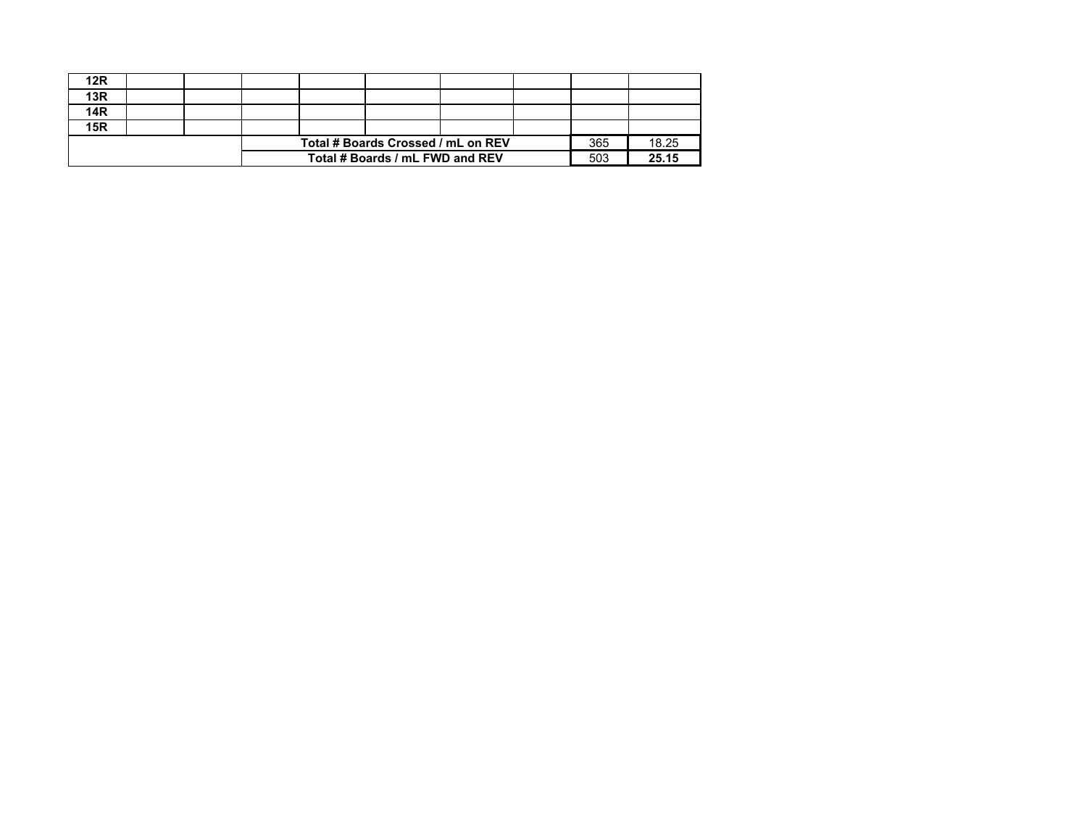|            |  | Total # Boards / mL FWD and REV    | 503 | 25.15 |  |  |
|------------|--|------------------------------------|-----|-------|--|--|
|            |  | Total # Boards Crossed / mL on REV | 365 | 18.25 |  |  |
| <b>15R</b> |  |                                    |     |       |  |  |
| <b>14R</b> |  |                                    |     |       |  |  |
| 13R        |  |                                    |     |       |  |  |
| 12R        |  |                                    |     |       |  |  |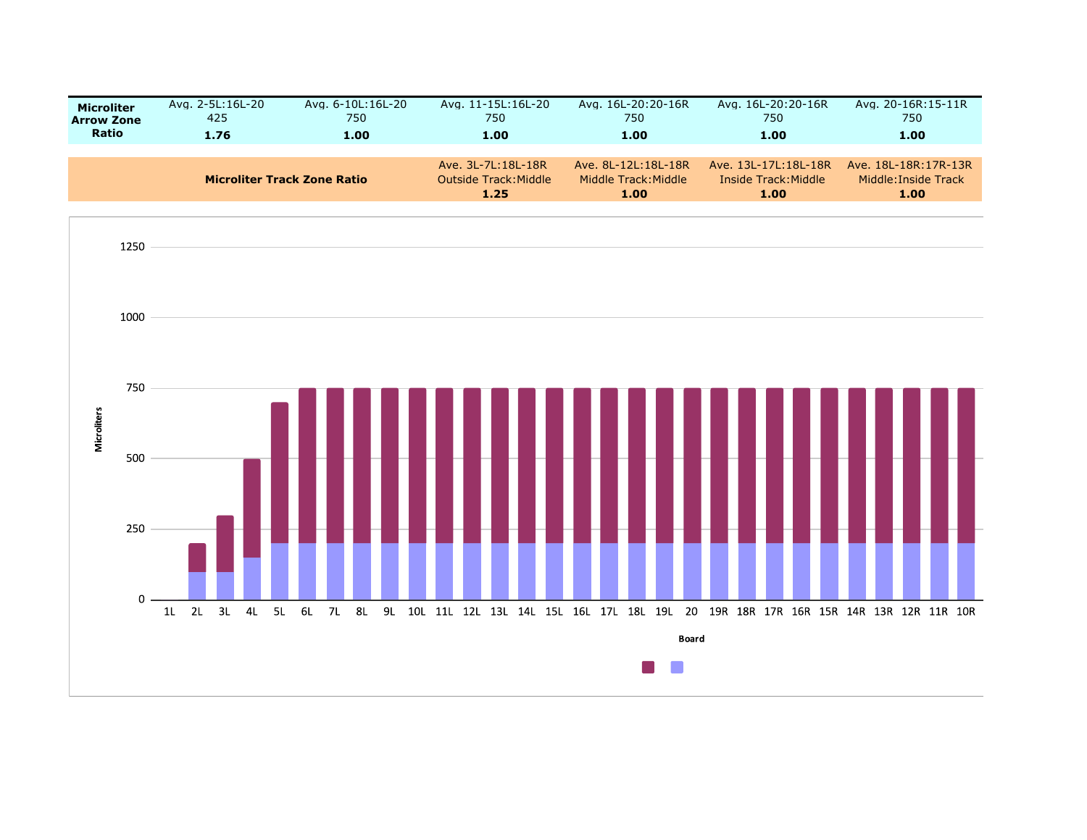| <b>Microliter</b> | Avg. 2-5L:16L-20 | Avg. 6-10L:16L-20                  | Avg. 11-15L:16L-20                                  | Avg. 16L-20:20-16R                                  | Avg. 16L-20:20-16R                                   | Avg. 20-16R:15-11R                                   |
|-------------------|------------------|------------------------------------|-----------------------------------------------------|-----------------------------------------------------|------------------------------------------------------|------------------------------------------------------|
| <b>Arrow Zone</b> | 425              | 750                                | 750                                                 | 750                                                 | 750                                                  | 750                                                  |
| <b>Ratio</b>      | 1.76             | 1.00                               | 1.00                                                | 1.00                                                | 1.00                                                 | 1.00                                                 |
|                   |                  | <b>Microliter Track Zone Ratio</b> | Ave. 3L-7L:18L-18R<br>Outside Track: Middle<br>1.25 | Ave. 8L-12L:18L-18R<br>Middle Track: Middle<br>1.00 | Ave. 13L-17L:18L-18R<br>Inside Track: Middle<br>1.00 | Ave. 18L-18R:17R-13R<br>Middle: Inside Track<br>1.00 |

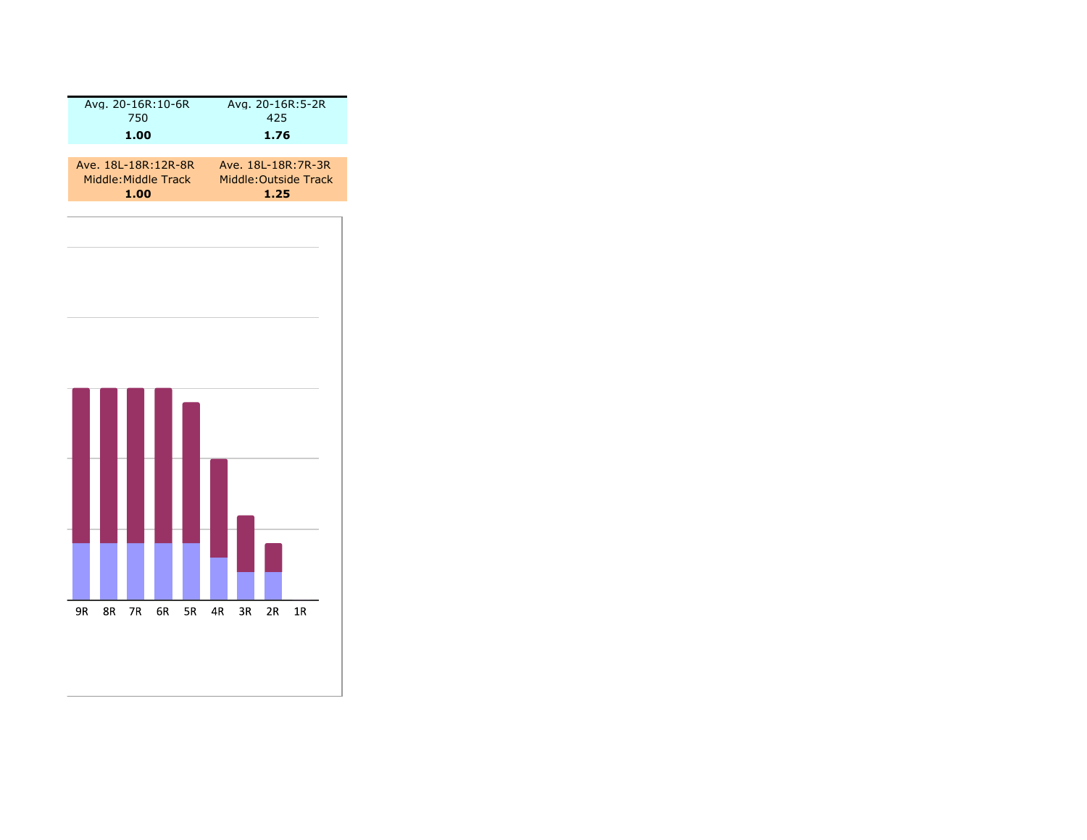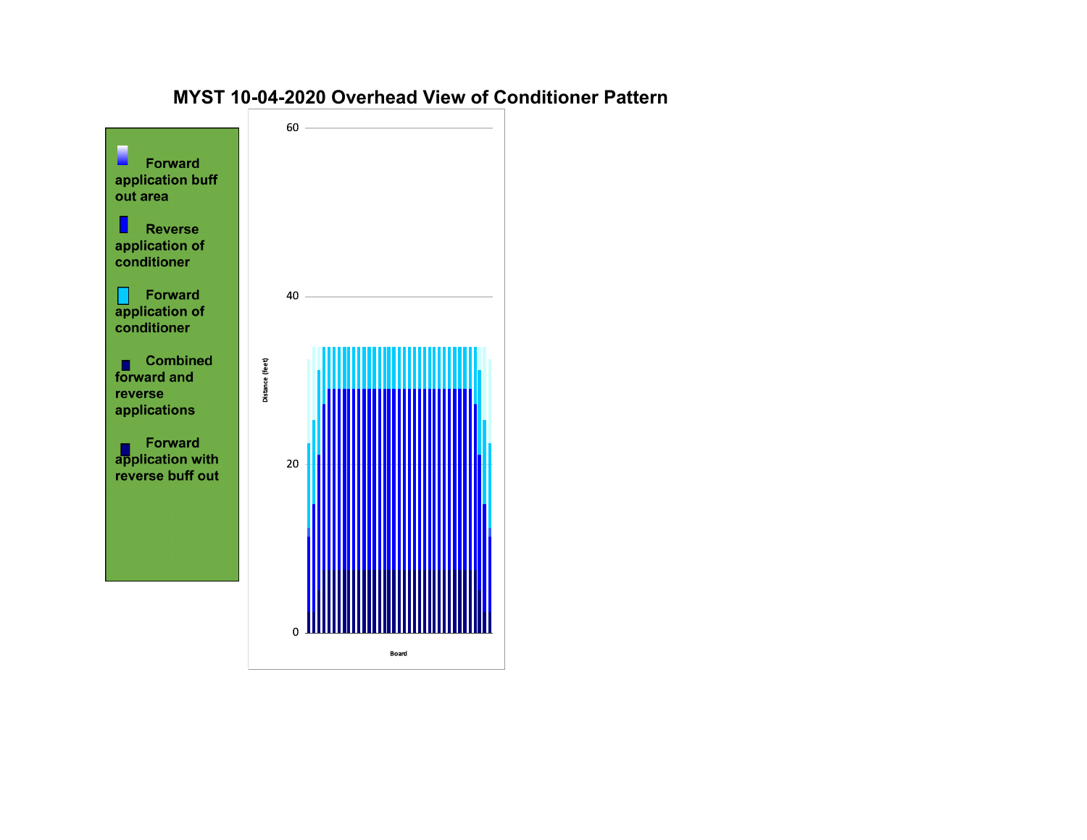## $60 -$ П **Forward** application buff out area  $\blacksquare$  Reverse application of conditioner Forward<br>application of 40 conditioner **Combined**<br>forward and Distance (feet) reverse applications **Forward**<br>application with 20 reverse buff out

 $\mathbf 0$ 

Board

## **MYST 10-04-2020 Overhead View of Conditioner Pattern**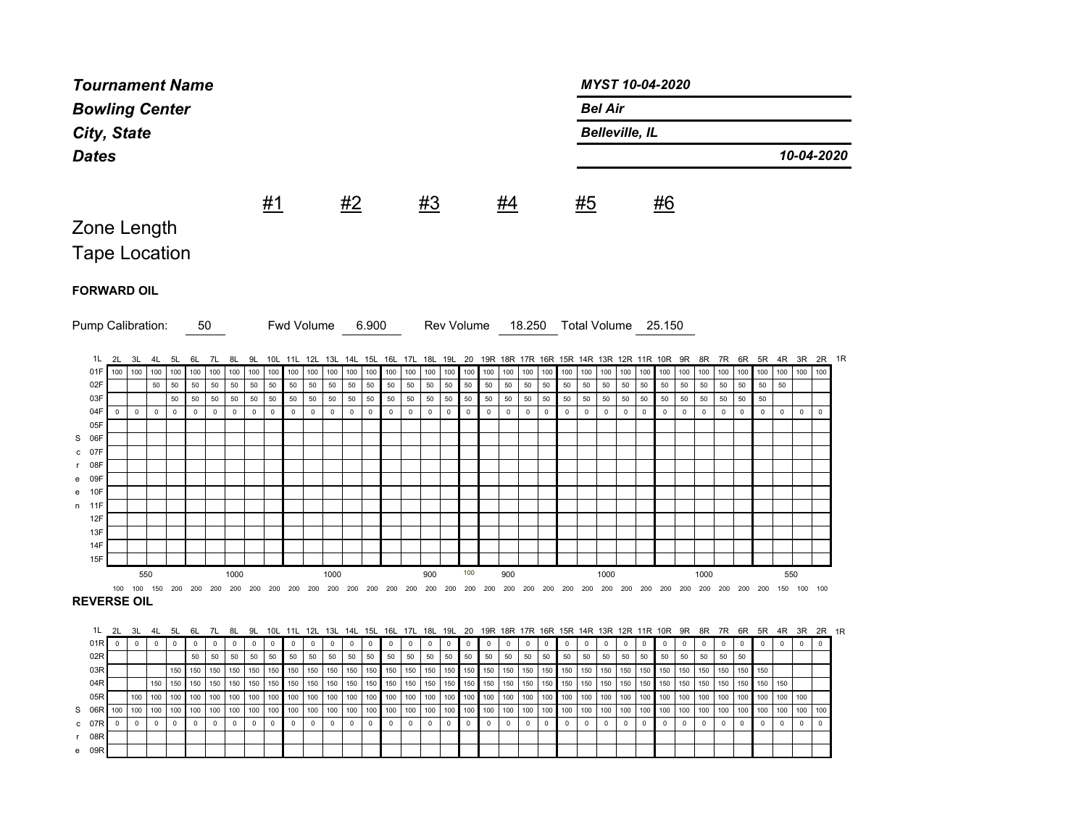| <b>Tournament Name</b>      |     |                     |                     |                      |                     |                     |                    |                   |                   |                                | MYST 10-04-2020            |                            |                                     |                        |              |                            |                    |                     |                            |                     |              |             |                     |             |                     |                     |                                                                   |                     |                     |             |                     |                           |                           |              |                     |                           |                     |                                 |  |
|-----------------------------|-----|---------------------|---------------------|----------------------|---------------------|---------------------|--------------------|-------------------|-------------------|--------------------------------|----------------------------|----------------------------|-------------------------------------|------------------------|--------------|----------------------------|--------------------|---------------------|----------------------------|---------------------|--------------|-------------|---------------------|-------------|---------------------|---------------------|-------------------------------------------------------------------|---------------------|---------------------|-------------|---------------------|---------------------------|---------------------------|--------------|---------------------|---------------------------|---------------------|---------------------------------|--|
| <b>Bowling Center</b>       |     |                     |                     |                      |                     |                     |                    |                   |                   |                                |                            |                            | <b>Bel Air</b>                      |                        |              |                            |                    |                     |                            |                     |              |             |                     |             |                     |                     |                                                                   |                     |                     |             |                     |                           |                           |              |                     |                           |                     |                                 |  |
|                             |     |                     |                     |                      |                     |                     |                    |                   |                   |                                |                            |                            |                                     |                        |              |                            |                    |                     |                            |                     |              |             |                     |             |                     |                     |                                                                   |                     |                     |             |                     |                           |                           |              |                     |                           |                     |                                 |  |
| City, State<br><b>Dates</b> |     |                     |                     |                      |                     |                     |                    |                   |                   |                                |                            |                            | <b>Belleville, IL</b><br>10-04-2020 |                        |              |                            |                    |                     |                            |                     |              |             |                     |             |                     |                     |                                                                   |                     |                     |             |                     |                           |                           |              |                     |                           |                     |                                 |  |
|                             |     |                     |                     |                      |                     |                     |                    |                   |                   |                                |                            |                            |                                     |                        |              |                            |                    |                     |                            |                     |              |             |                     |             |                     |                     |                                                                   |                     |                     |             |                     |                           |                           |              |                     |                           |                     |                                 |  |
|                             |     |                     |                     |                      |                     |                     |                    |                   |                   |                                |                            |                            |                                     |                        |              |                            |                    |                     |                            |                     |              |             |                     |             |                     |                     |                                                                   |                     |                     |             |                     |                           |                           |              |                     |                           |                     |                                 |  |
|                             |     |                     |                     |                      |                     |                     |                    |                   |                   | <u>#1</u>                      |                            |                            |                                     | #2                     |              |                            |                    | <u>#3</u>           |                            |                     |              | <u>#4</u>   |                     |             |                     | #5                  |                                                                   |                     |                     | #6          |                     |                           |                           |              |                     |                           |                     |                                 |  |
|                             |     |                     |                     |                      |                     |                     |                    |                   |                   |                                |                            |                            |                                     |                        |              |                            |                    |                     |                            |                     |              |             |                     |             |                     |                     |                                                                   |                     |                     |             |                     |                           |                           |              |                     |                           |                     |                                 |  |
| Zone Length                 |     |                     |                     |                      |                     |                     |                    |                   |                   |                                |                            |                            |                                     |                        |              |                            |                    |                     |                            |                     |              |             |                     |             |                     |                     |                                                                   |                     |                     |             |                     |                           |                           |              |                     |                           |                     |                                 |  |
| <b>Tape Location</b>        |     |                     |                     |                      |                     |                     |                    |                   |                   |                                |                            |                            |                                     |                        |              |                            |                    |                     |                            |                     |              |             |                     |             |                     |                     |                                                                   |                     |                     |             |                     |                           |                           |              |                     |                           |                     |                                 |  |
|                             |     |                     |                     |                      |                     |                     |                    |                   |                   |                                |                            |                            |                                     |                        |              |                            |                    |                     |                            |                     |              |             |                     |             |                     |                     |                                                                   |                     |                     |             |                     |                           |                           |              |                     |                           |                     |                                 |  |
| <b>FORWARD OIL</b>          |     |                     |                     |                      |                     |                     |                    |                   |                   |                                |                            |                            |                                     |                        |              |                            |                    |                     |                            |                     |              |             |                     |             |                     |                     |                                                                   |                     |                     |             |                     |                           |                           |              |                     |                           |                     |                                 |  |
|                             |     |                     |                     |                      |                     |                     |                    |                   |                   |                                |                            |                            |                                     |                        |              |                            |                    |                     |                            |                     |              |             |                     |             |                     |                     |                                                                   |                     |                     |             |                     |                           |                           |              |                     |                           |                     |                                 |  |
| Pump Calibration:           |     |                     |                     |                      |                     |                     | 50                 |                   |                   |                                |                            | <b>Fwd Volume</b>          |                                     |                        | 6.900        |                            |                    |                     | Rev Volume                 |                     |              |             | 18.250              |             |                     |                     | Total Volume 25.150                                               |                     |                     |             |                     |                           |                           |              |                     |                           |                     |                                 |  |
|                             |     |                     |                     |                      |                     |                     |                    |                   |                   |                                |                            |                            |                                     |                        |              |                            |                    |                     |                            |                     |              |             |                     |             |                     |                     |                                                                   |                     |                     |             |                     |                           |                           |              |                     |                           |                     |                                 |  |
|                             | 1L  | 2L                  | 3L                  | 4L                   | 5L                  | 6L                  | 7L                 | 8L                | 9L                |                                |                            |                            | 10L 11L 12L 13L 14L 15L 16L 17L     |                        |              |                            |                    |                     |                            |                     |              |             |                     |             |                     |                     | 18L 19L 20 19R 18R 17R 16R 15R 14R 13R 12R 11R 10R                |                     |                     |             | 9R                  |                           | 8R 7R                     |              |                     |                           |                     | 6R 5R 4R 3R 2R 1R               |  |
|                             | 01F | 100                 | 100                 | 100                  | 100                 | 100                 | 100                | 100               | 100               | 100                            | 100                        | 100                        | 100                                 | 100                    | 100          | 100                        | 100                | 100                 | 100                        | 100                 | 100          | 100         | 100                 | 100         | 100                 | 100                 | 100                                                               | 100                 | 100                 | 100         |                     | $100$ 100                 | 100                       | 100          | 100                 | 100                       | 100                 | 100                             |  |
| 02F<br>03F                  |     |                     |                     | 50                   | 50<br>50            | 50<br>50            | 50<br>50           | 50<br>$50\,$      | 50<br>50          | 50<br>50                       | 50<br>50                   | 50<br>50                   | 50<br>50                            | 50<br>50               | 50<br>50     | $50\,$<br>50               | 50<br>50           | 50<br>50            | 50<br>50                   | 50<br>50            | 50<br>50     | 50<br>50    | 50<br>50            | 50<br>50    | 50<br>50            | 50<br>50            | 50<br>50                                                          | 50<br>50            | $50\,$<br>50        | 50<br>50    | 50<br>50            | $50\,$<br>50              | 50<br>50                  | $50\,$<br>50 | 50<br>50            | 50                        |                     |                                 |  |
| 04F                         |     | $\mathsf 0$         | $\mathsf{O}\xspace$ | $\mathbf 0$          | $\mathsf{O}\xspace$ | $\mathbf 0$         | $\mathsf 0$        | $\mathsf 0$       | $\mathsf 0$       | $\mathsf 0$                    | $\mathsf{O}$               | $\mathsf 0$                | $\mathsf 0$                         | $\mathsf{O}\xspace$    | $\mathsf{O}$ | $\mathsf{O}\xspace$        | $\mathsf{O}$       | $\mathsf{O}\xspace$ | $\mathsf{O}\xspace$        | $\mathsf{O}\xspace$ | $\mathsf{O}$ | $\mathsf 0$ | $\mathsf{O}\xspace$ | $\mathsf 0$ | $\mathsf{O}\xspace$ | $\mathsf{O}\xspace$ | $\mathsf{O}\xspace$                                               | $\mathsf 0$         | $\mathsf 0$         | $\mathsf 0$ | $\mathsf 0$         | $\mathsf 0$               | $\mathsf{O}$              | $\mathsf 0$  | $\mathsf 0$         | $\mathbf 0$               | $\mathsf 0$         | $\mathsf 0$                     |  |
| 05F                         |     |                     |                     |                      |                     |                     |                    |                   |                   |                                |                            |                            |                                     |                        |              |                            |                    |                     |                            |                     |              |             |                     |             |                     |                     |                                                                   |                     |                     |             |                     |                           |                           |              |                     |                           |                     |                                 |  |
| S 06F                       |     |                     |                     |                      |                     |                     |                    |                   |                   |                                |                            |                            |                                     |                        |              |                            |                    |                     |                            |                     |              |             |                     |             |                     |                     |                                                                   |                     |                     |             |                     |                           |                           |              |                     |                           |                     |                                 |  |
| c 07F                       |     |                     |                     |                      |                     |                     |                    |                   |                   |                                |                            |                            |                                     |                        |              |                            |                    |                     |                            |                     |              |             |                     |             |                     |                     |                                                                   |                     |                     |             |                     |                           |                           |              |                     |                           |                     |                                 |  |
| 08F<br>r.                   |     |                     |                     |                      |                     |                     |                    |                   |                   |                                |                            |                            |                                     |                        |              |                            |                    |                     |                            |                     |              |             |                     |             |                     |                     |                                                                   |                     |                     |             |                     |                           |                           |              |                     |                           |                     |                                 |  |
| e 09F                       |     |                     |                     |                      |                     |                     |                    |                   |                   |                                |                            |                            |                                     |                        |              |                            |                    |                     |                            |                     |              |             |                     |             |                     |                     |                                                                   |                     |                     |             |                     |                           |                           |              |                     |                           |                     |                                 |  |
| e 10F<br>n 11F              |     |                     |                     |                      |                     |                     |                    |                   |                   |                                |                            |                            |                                     |                        |              |                            |                    |                     |                            |                     |              |             |                     |             |                     |                     |                                                                   |                     |                     |             |                     |                           |                           |              |                     |                           |                     |                                 |  |
| 12F                         |     |                     |                     |                      |                     |                     |                    |                   |                   |                                |                            |                            |                                     |                        |              |                            |                    |                     |                            |                     |              |             |                     |             |                     |                     |                                                                   |                     |                     |             |                     |                           |                           |              |                     |                           |                     |                                 |  |
| 13F                         |     |                     |                     |                      |                     |                     |                    |                   |                   |                                |                            |                            |                                     |                        |              |                            |                    |                     |                            |                     |              |             |                     |             |                     |                     |                                                                   |                     |                     |             |                     |                           |                           |              |                     |                           |                     |                                 |  |
| 14F                         |     |                     |                     |                      |                     |                     |                    |                   |                   |                                |                            |                            |                                     |                        |              |                            |                    |                     |                            |                     |              |             |                     |             |                     |                     |                                                                   |                     |                     |             |                     |                           |                           |              |                     |                           |                     |                                 |  |
| 15F                         |     |                     |                     |                      |                     |                     |                    |                   |                   |                                |                            |                            |                                     |                        |              |                            |                    |                     |                            |                     |              |             |                     |             |                     |                     |                                                                   |                     |                     |             |                     |                           |                           |              |                     |                           |                     |                                 |  |
|                             |     |                     | 550                 |                      |                     |                     |                    | 1000              |                   |                                |                            |                            | 1000                                |                        |              |                            |                    | 900                 |                            | 100                 |              | 900         |                     |             |                     |                     | 1000                                                              |                     |                     |             |                     | 1000                      |                           |              |                     | 550                       |                     |                                 |  |
|                             |     |                     |                     |                      |                     |                     |                    |                   |                   |                                |                            |                            |                                     |                        |              |                            |                    |                     |                            |                     |              |             |                     |             |                     |                     |                                                                   |                     |                     |             |                     |                           |                           |              |                     |                           |                     |                                 |  |
| <b>REVERSE OIL</b>          |     |                     |                     |                      |                     |                     |                    |                   |                   |                                |                            |                            |                                     |                        |              |                            |                    |                     |                            |                     |              |             |                     |             |                     |                     |                                                                   |                     |                     |             |                     |                           |                           |              |                     |                           |                     |                                 |  |
|                             | 1L  | 2L                  | 3L                  |                      |                     |                     |                    |                   |                   |                                |                            |                            |                                     |                        |              |                            |                    |                     |                            |                     |              |             |                     |             |                     |                     |                                                                   |                     |                     |             |                     |                           |                           | 6R           |                     |                           |                     |                                 |  |
|                             | 01R | $\mathsf{O}\xspace$ | $\mathsf{O}$        | 4L<br>$\mathsf{o}\,$ | 5L<br>$\mathbf 0$   | 6L<br>$\mathsf 0$   | 7L<br>$\mathsf{O}$ | 8L<br>$\mathsf 0$ | 9L<br>$\mathbb O$ | 10 <sub>L</sub><br>$\mathsf 0$ | 11L<br>$\mathsf{O}\xspace$ | 12L<br>$\mathsf{O}\xspace$ | 13L<br>$\mathsf 0$                  | 14L 15L<br>$\mathsf 0$ | $\mathsf 0$  | 16L<br>$\mathsf{O}\xspace$ | 17L<br>$\mathsf 0$ | 18L<br>$\mathsf 0$  | 19L<br>$\mathsf{O}\xspace$ | 20<br>$\mathsf 0$   | $\mathsf 0$  | $\mathsf 0$ | $\mathsf 0$         | $\mathsf 0$ | $\mathsf{O}\xspace$ | $\mathsf 0$         | 19R 18R 17R 16R 15R 14R 13R 12R 11R 10R 9R<br>$\mathsf{O}\xspace$ | $\mathsf{O}\xspace$ | $\mathsf 0$         | $\mathsf 0$ | $\mathsf{O}\xspace$ | 8R<br>$\mathsf{O}\xspace$ | 7R<br>$\mathsf{O}\xspace$ | $\mathsf 0$  | 5R<br>$\mathsf 0$   | 4R<br>$\mathsf{O}\xspace$ | $\mathsf{O}\xspace$ | 3R 2R 1R<br>$\mathsf{O}\xspace$ |  |
|                             | 02R |                     |                     |                      |                     | 50                  | 50                 | 50                | 50                | 50                             | 50                         | 50                         | 50                                  | 50                     | 50           | 50                         | 50                 | 50                  | 50                         | 50                  | 50           | 50          | 50                  | 50          | 50                  | 50                  | 50                                                                | 50                  | 50                  | 50          | 50                  | 50                        | 50                        | 50           |                     |                           |                     |                                 |  |
|                             | 03R |                     |                     |                      | 150                 | 150                 | 150                | 150               | 150               | 150                            | 150                        | 150                        | 150                                 | 150                    | 150          | 150                        | 150                | 150                 | 150                        | 150                 | 150          | 150         | 150                 | 150         | 150                 | 150                 | 150                                                               | 150                 | 150                 | 150         | 150                 | 150                       | 150                       | 150          | 150                 |                           |                     |                                 |  |
|                             | 04R |                     |                     | 150                  | 150                 | 150                 | 150                | 150               | 150               | 150                            | 150                        | 150                        | 150                                 | 150                    | 150          | 150                        | 150                | 150                 | 150                        | 150                 | 150          | 150         | 150                 | 150         | 150                 | 150                 | 150                                                               | 150                 | 150                 | 150         | 150                 | 150                       | 150                       | 150          | 150                 | 150                       |                     |                                 |  |
| 05R                         |     |                     | 100                 | 100                  | 100                 | 100                 | 100                | 100               | 100               | 100                            | 100                        | 100                        | 100                                 | 100                    | 100          | 100                        | 100                | 100                 | 100                        | 100                 | 100          | 100         | 100                 | 100         | 100                 | 100                 | 100                                                               | 100                 | 100                 | 100         | 100                 | 100                       | 100                       | 100          | 100                 | 100                       | 100                 |                                 |  |
| S 06R                       |     | 100                 | 100                 | 100                  | 100                 | 100                 | 100                | 100               | 100               | 100                            | 100                        | 100                        | 100                                 | 100                    | 100          | 100                        | 100                | 100                 | 100                        | 100                 | 100          | 100         | 100                 | 100         | 100                 | 100                 | 100                                                               | 100                 | 100                 | 100         | 100                 | 100                       | 100                       | 100          | 100                 | 100                       | 100                 | 100                             |  |
| c 07R                       | 08F | $\mathsf 0$         | $\mathbf 0$         | $\mathbf 0$          | $\mathsf{O}\xspace$ | $\mathsf{O}\xspace$ | $\mathbf 0$        | $\mathsf 0$       | $\mathbb O$       | $\mathsf 0$                    | $\mathsf{O}$               | $\mathsf 0$                | $\mathsf 0$                         | $\mathsf 0$            | $\mathsf{O}$ | $\mathsf{O}\xspace$        | $\mathsf{O}$       | $\mathbf 0$         | $\mathsf 0$                | $\mathsf{O}\xspace$ | $\mathsf{O}$ | $\mathbf 0$ | $\mathsf{O}\xspace$ | $\mathsf 0$ | $\mathsf{O}\xspace$ | $\mathsf 0$         | $\mathsf{O}\xspace$                                               | $\mathsf 0$         | $\mathsf{O}\xspace$ | $\mathsf 0$ | $\mathsf 0$         | $\mathsf 0$               | $\mathsf{O}$              | $\mathsf 0$  | $\mathsf{O}\xspace$ | $\mathbf 0$               | $\mathsf{O}$        | 0                               |  |
|                             |     |                     |                     |                      |                     |                     |                    |                   |                   |                                |                            |                            |                                     |                        |              |                            |                    |                     |                            |                     |              |             |                     |             |                     |                     |                                                                   |                     |                     |             |                     |                           |                           |              |                     |                           |                     |                                 |  |